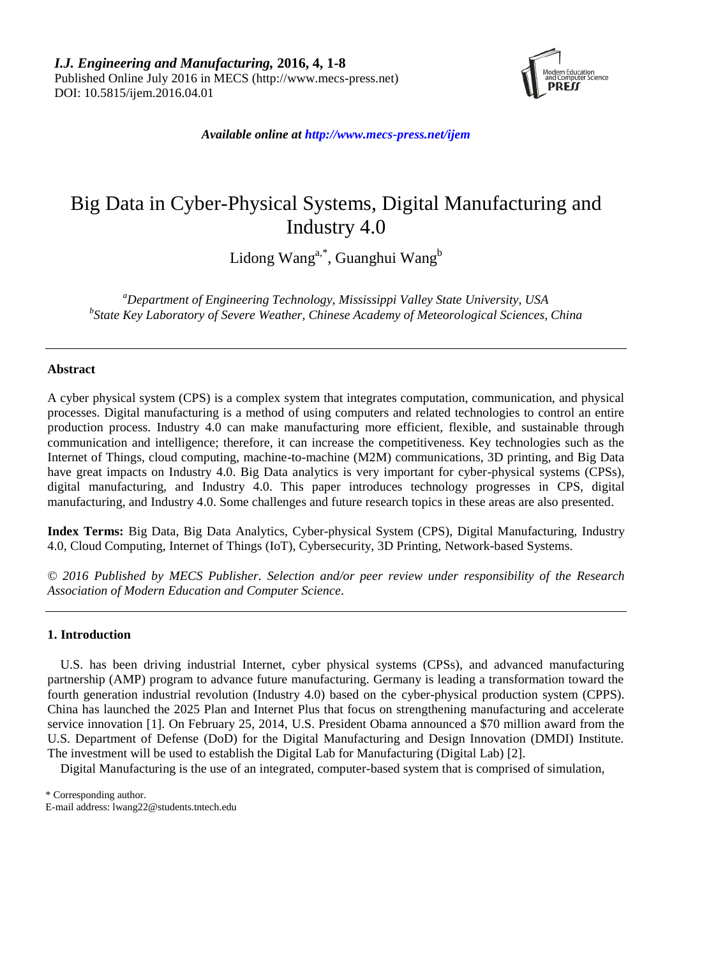

*Available online at http://www.mecs-press.net/ijem*

# Big Data in Cyber-Physical Systems, Digital Manufacturing and Industry 4.0

Lidong Wang<sup>a,\*</sup>, Guanghui Wang<sup>b</sup>

*<sup>a</sup>Department of Engineering Technology, Mississippi Valley State University, USA b State Key Laboratory of Severe Weather, Chinese Academy of Meteorological Sciences, China*

# **Abstract**

A cyber physical system (CPS) is a complex system that integrates computation, communication, and physical processes. Digital manufacturing is a method of using computers and related technologies to control an entire production process. Industry 4.0 can make manufacturing more efficient, flexible, and sustainable through communication and intelligence; therefore, it can increase the competitiveness. Key technologies such as the Internet of Things, cloud computing, machine-to-machine (M2M) communications, 3D printing, and Big Data have great impacts on Industry 4.0. Big Data analytics is very important for cyber-physical systems (CPSs), digital manufacturing, and Industry 4.0. This paper introduces technology progresses in CPS, digital manufacturing, and Industry 4.0. Some challenges and future research topics in these areas are also presented.

**Index Terms:** Big Data, Big Data Analytics, Cyber-physical System (CPS), Digital Manufacturing, Industry 4.0, Cloud Computing, Internet of Things (IoT), Cybersecurity, 3D Printing, Network-based Systems.

*© 2016 Published by MECS Publisher. Selection and/or peer review under responsibility of the Research Association of Modern Education and Computer Science.*

# **1. Introduction**

U.S. has been driving industrial Internet, cyber physical systems (CPSs), and advanced manufacturing partnership (AMP) program to advance future manufacturing. Germany is leading a transformation toward the fourth generation industrial revolution (Industry 4.0) based on the cyber-physical production system (CPPS). China has launched the 2025 Plan and Internet Plus that focus on strengthening manufacturing and accelerate service innovation [1]. On February 25, 2014, U.S. President Obama announced a \$70 million award from the U.S. Department of Defense (DoD) for the Digital Manufacturing and Design Innovation (DMDI) Institute. The investment will be used to establish the Digital Lab for Manufacturing (Digital Lab) [2].

Digital Manufacturing is the use of an integrated, computer-based system that is comprised of simulation,

\* Corresponding author. E-mail address: lwang22@students.tntech.edu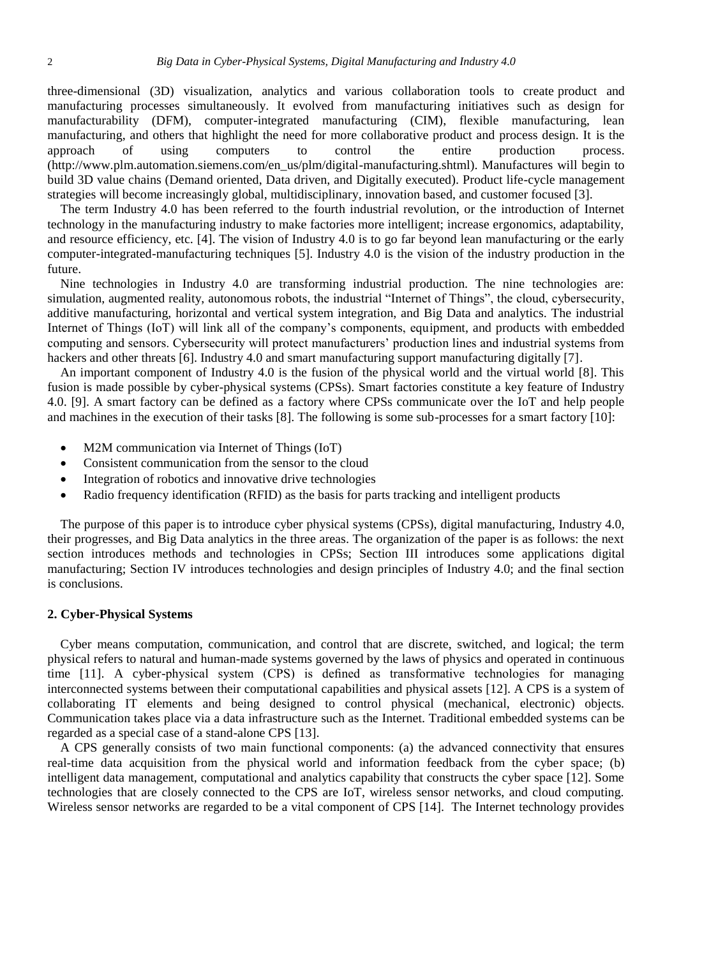three-dimensional (3D) visualization, analytics and various collaboration tools to create product and manufacturing processes simultaneously. It evolved from manufacturing initiatives such as design for manufacturability (DFM), computer-integrated manufacturing (CIM), flexible manufacturing, lean manufacturing, and others that highlight the need for more collaborative product and process design. It is the approach of using computers to control the entire production process. [\(http://www.plm.automation.siemens.com/en\\_us/plm/digital-manufacturing.shtml\)](http://www.plm.automation.siemens.com/en_us/plm/digital-manufacturing.shtml). Manufactures will begin to build 3D value chains (Demand oriented, Data driven, and Digitally executed). Product life-cycle management strategies will become increasingly global, multidisciplinary, innovation based, and customer focused [3].

The term Industry 4.0 has been referred to the fourth industrial revolution, or the introduction of Internet technology in the manufacturing industry to make factories more intelligent; increase ergonomics, adaptability, and resource efficiency, etc. [4]. The vision of Industry 4.0 is to go far beyond lean manufacturing or the early computer-integrated-manufacturing techniques [5]. Industry 4.0 is the vision of the industry production in the future.

Nine technologies in Industry 4.0 are transforming industrial production. The nine technologies are: simulation, augmented reality, autonomous robots, the industrial "Internet of Things", the cloud, cybersecurity, additive manufacturing, horizontal and vertical system integration, and Big Data and analytics. The industrial Internet of Things (IoT) will link all of the company's components, equipment, and products with embedded computing and sensors. Cybersecurity will protect manufacturers' production lines and industrial systems from hackers and other threats [6]. Industry 4.0 and smart manufacturing support manufacturing digitally [7].

An important component of Industry 4.0 is the fusion of the physical world and the virtual world [8]. This fusion is made possible by cyber-physical systems (CPSs). Smart factories constitute a key feature of Industry 4.0. [9]. A smart factory can be defined as a factory where CPSs communicate over the IoT and help people and machines in the execution of their tasks [8]. The following is some sub-processes for a smart factory [10]:

- M2M communication via Internet of Things (IoT)
- Consistent communication from the sensor to the cloud
- Integration of robotics and innovative drive technologies
- Radio frequency identification (RFID) as the basis for parts tracking and intelligent products

The purpose of this paper is to introduce cyber physical systems (CPSs), digital manufacturing, Industry 4.0, their progresses, and Big Data analytics in the three areas. The organization of the paper is as follows: the next section introduces methods and technologies in CPSs; Section III introduces some applications digital manufacturing; Section IV introduces technologies and design principles of Industry 4.0; and the final section is conclusions.

#### **2. Cyber-Physical Systems**

Cyber means computation, communication, and control that are discrete, switched, and logical; the term physical refers to natural and human-made systems governed by the laws of physics and operated in continuous time [11]. A cyber-physical system (CPS) is defined as transformative technologies for managing interconnected systems between their computational capabilities and physical assets [12]. A CPS is a system of collaborating IT elements and being designed to control physical (mechanical, electronic) objects. Communication takes place via a data infrastructure such as the Internet. Traditional embedded systems can be regarded as a special case of a stand-alone CPS [13].

A CPS generally consists of two main functional components: (a) the advanced connectivity that ensures real-time data acquisition from the physical world and information feedback from the cyber space; (b) intelligent data management, computational and analytics capability that constructs the cyber space [12]. Some technologies that are closely connected to the CPS are IoT, wireless sensor networks, and cloud computing. Wireless sensor networks are regarded to be a vital component of CPS [14]. The Internet technology provides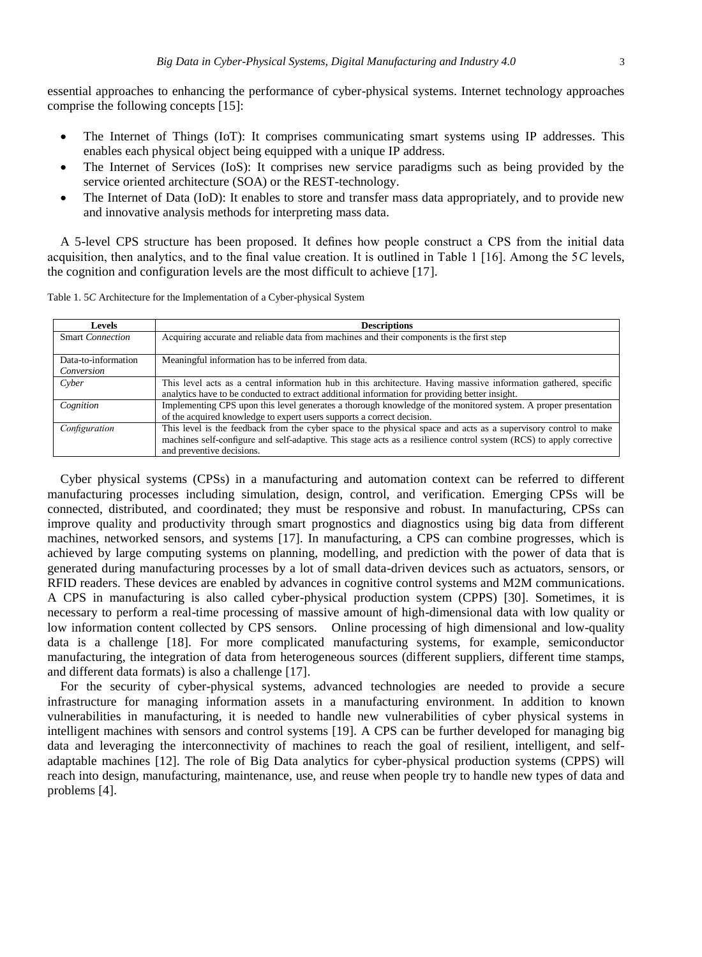essential approaches to enhancing the performance of cyber-physical systems. Internet technology approaches comprise the following concepts [15]:

- The Internet of Things (IoT): It comprises communicating smart systems using IP addresses. This enables each physical object being equipped with a unique IP address.
- The Internet of Services (IoS): It comprises new service paradigms such as being provided by the service oriented architecture (SOA) or the REST-technology.
- The Internet of Data (IoD): It enables to store and transfer mass data appropriately, and to provide new and innovative analysis methods for interpreting mass data.

A 5-level CPS structure has been proposed. It defines how people construct a CPS from the initial data acquisition, then analytics, and to the final value creation. It is outlined in Table 1 [16]. Among the 5*C* levels, the cognition and configuration levels are the most difficult to achieve [17].

Table 1. 5*C* Architecture for the Implementation of a Cyber-physical System

| <b>Levels</b>                     | <b>Descriptions</b>                                                                                                                                                                                                                                                 |  |  |
|-----------------------------------|---------------------------------------------------------------------------------------------------------------------------------------------------------------------------------------------------------------------------------------------------------------------|--|--|
| <b>Smart Connection</b>           | Acquiring accurate and reliable data from machines and their components is the first step                                                                                                                                                                           |  |  |
| Data-to-information<br>Conversion | Meaningful information has to be inferred from data.                                                                                                                                                                                                                |  |  |
| Cyber                             | This level acts as a central information hub in this architecture. Having massive information gathered, specific<br>analytics have to be conducted to extract additional information for providing better insight.                                                  |  |  |
| Cognition                         | Implementing CPS upon this level generates a thorough knowledge of the monitored system. A proper presentation<br>of the acquired knowledge to expert users supports a correct decision.                                                                            |  |  |
| Configuration                     | This level is the feedback from the cyber space to the physical space and acts as a supervisory control to make<br>machines self-configure and self-adaptive. This stage acts as a resilience control system (RCS) to apply corrective<br>and preventive decisions. |  |  |

Cyber physical systems (CPSs) in a manufacturing and automation context can be referred to different manufacturing processes including simulation, design, control, and verification. Emerging CPSs will be connected, distributed, and coordinated; they must be responsive and robust. In manufacturing, CPSs can improve quality and productivity through smart prognostics and diagnostics using big data from different machines, networked sensors, and systems [17]. In manufacturing, a CPS can combine progresses, which is achieved by large computing systems on planning, modelling, and prediction with the power of data that is generated during manufacturing processes by a lot of small data-driven devices such as actuators, sensors, or RFID readers. These devices are enabled by advances in cognitive control systems and M2M communications. A CPS in manufacturing is also called cyber-physical production system (CPPS) [30]. Sometimes, it is necessary to perform a real-time processing of massive amount of high-dimensional data with low quality or low information content collected by CPS sensors. Online processing of high dimensional and low-quality data is a challenge [18]. For more complicated manufacturing systems, for example, semiconductor manufacturing, the integration of data from heterogeneous sources (different suppliers, different time stamps, and different data formats) is also a challenge [17].

For the security of cyber-physical systems, advanced technologies are needed to provide a secure infrastructure for managing information assets in a manufacturing environment. In addition to known vulnerabilities in manufacturing, it is needed to handle new vulnerabilities of cyber physical systems in intelligent machines with sensors and control systems [19]. A CPS can be further developed for managing big data and leveraging the interconnectivity of machines to reach the goal of resilient, intelligent, and selfadaptable machines [12]. The role of Big Data analytics for cyber-physical production systems (CPPS) will reach into design, manufacturing, maintenance, use, and reuse when people try to handle new types of data and problems [4].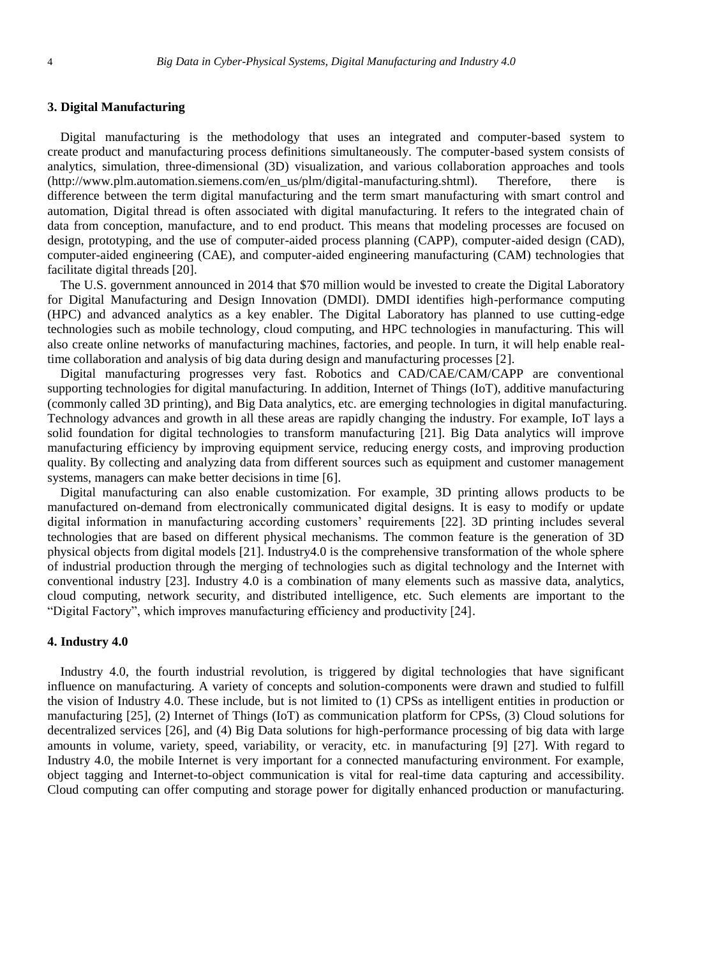## **3. Digital Manufacturing**

Digital manufacturing is the methodology that uses an integrated and computer-based system to create product and manufacturing process definitions simultaneously. The computer-based system consists of analytics, simulation, three-dimensional (3D) visualization, and various collaboration approaches and tools (http://www.plm.automation.siemens.com/en\_us/plm/digital-manufacturing.shtml). Therefore, there is difference between the term digital manufacturing and the term smart manufacturing with smart control and automation, Digital thread is often associated with digital manufacturing. It refers to the integrated chain of data from conception, manufacture, and to end product. This means that modeling processes are focused on design, prototyping, and the use of computer-aided process planning (CAPP), computer-aided design (CAD), computer-aided engineering (CAE), and computer-aided engineering manufacturing (CAM) technologies that facilitate digital threads [20].

The U.S. government announced in 2014 that \$70 million would be invested to create the Digital Laboratory for Digital Manufacturing and Design Innovation (DMDI). DMDI identifies high-performance computing (HPC) and advanced analytics as a key enabler. The Digital Laboratory has planned to use cutting-edge technologies such as mobile technology, cloud computing, and HPC technologies in manufacturing. This will also create online networks of manufacturing machines, factories, and people. In turn, it will help enable realtime collaboration and analysis of big data during design and manufacturing processes [2].

Digital manufacturing progresses very fast. Robotics and CAD/CAE/CAM/CAPP are conventional supporting technologies for digital manufacturing. In addition, Internet of Things (IoT), additive manufacturing (commonly called 3D printing), and Big Data analytics, etc. are emerging technologies in digital manufacturing. Technology advances and growth in all these areas are rapidly changing the industry. For example, IoT lays a solid foundation for digital technologies to transform manufacturing [21]. Big Data analytics will improve manufacturing efficiency by improving equipment service, reducing energy costs, and improving production quality. By collecting and analyzing data from different sources such as equipment and customer management systems, managers can make better decisions in time [6].

Digital manufacturing can also enable customization. For example, 3D printing allows products to be manufactured on-demand from electronically communicated digital designs. It is easy to modify or update digital information in manufacturing according customers' requirements [22]. 3D printing includes several technologies that are based on different physical mechanisms. The common feature is the generation of 3D physical objects from digital models [21]. Industry4.0 is the comprehensive transformation of the whole sphere of industrial production through the merging of technologies such as digital technology and the Internet with conventional industry [23]. Industry 4.0 is a combination of many elements such as massive data, analytics, cloud computing, network security, and distributed intelligence, etc. Such elements are important to the "Digital Factory", which improves manufacturing efficiency and productivity [24].

## **4. Industry 4.0**

Industry 4.0, the fourth industrial revolution, is triggered by digital technologies that have significant influence on manufacturing. A variety of concepts and solution-components were drawn and studied to fulfill the vision of Industry 4.0. These include, but is not limited to (1) CPSs as intelligent entities in production or manufacturing [25], (2) Internet of Things (IoT) as communication platform for CPSs, (3) Cloud solutions for decentralized services [26], and (4) Big Data solutions for high-performance processing of big data with large amounts in volume, variety, speed, variability, or veracity, etc. in manufacturing [9] [27]. With regard to Industry 4.0, the mobile Internet is very important for a connected manufacturing environment. For example, object tagging and Internet-to-object communication is vital for real-time data capturing and accessibility. Cloud computing can offer computing and storage power for digitally enhanced production or manufacturing.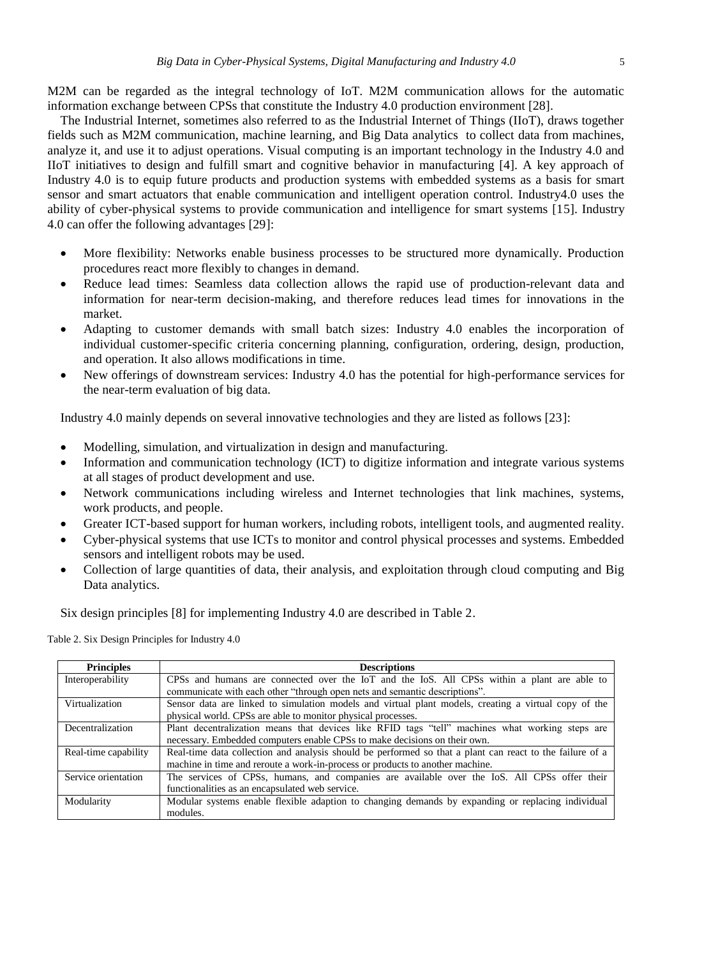M2M can be regarded as the integral technology of IoT. M2M communication allows for the automatic information exchange between CPSs that constitute the Industry 4.0 production environment [28].

The Industrial Internet, sometimes also referred to as the Industrial Internet of Things (IIoT), draws together fields such as M2M communication, machine learning, and Big Data analytics to collect data from machines, analyze it, and use it to adjust operations. Visual computing is an important technology in the Industry 4.0 and IIoT initiatives to design and fulfill smart and cognitive behavior in manufacturing [4]. A key approach of Industry 4.0 is to equip future products and production systems with embedded systems as a basis for smart sensor and smart actuators that enable communication and intelligent operation control. Industry4.0 uses the ability of cyber-physical systems to provide communication and intelligence for smart systems [15]. Industry 4.0 can offer the following advantages [29]:

- More flexibility: Networks enable business processes to be structured more dynamically. Production procedures react more flexibly to changes in demand.
- Reduce lead times: Seamless data collection allows the rapid use of production-relevant data and information for near-term decision-making, and therefore reduces lead times for innovations in the market.
- Adapting to customer demands with small batch sizes: Industry 4.0 enables the incorporation of individual customer-specific criteria concerning planning, configuration, ordering, design, production, and operation. It also allows modifications in time.
- New offerings of downstream services: Industry 4.0 has the potential for high-performance services for the near-term evaluation of big data.

Industry 4.0 mainly depends on several innovative technologies and they are listed as follows [23]:

- Modelling, simulation, and virtualization in design and manufacturing.
- Information and communication technology (ICT) to digitize information and integrate various systems at all stages of product development and use.
- Network communications including wireless and Internet technologies that link machines, systems, work products, and people.
- Greater ICT-based support for human workers, including robots, intelligent tools, and augmented reality.
- Cyber-physical systems that use ICTs to monitor and control physical processes and systems. Embedded sensors and intelligent robots may be used.
- Collection of large quantities of data, their analysis, and exploitation through cloud computing and Big Data analytics.

Six design principles [8] for implementing Industry 4.0 are described in Table 2.

Table 2. Six Design Principles for Industry 4.0

| <b>Principles</b>    | <b>Descriptions</b>                                                                                      |  |  |  |  |  |
|----------------------|----------------------------------------------------------------------------------------------------------|--|--|--|--|--|
| Interoperability     | CPSs and humans are connected over the IoT and the IoS. All CPSs within a plant are able to              |  |  |  |  |  |
|                      | communicate with each other "through open nets and semantic descriptions".                               |  |  |  |  |  |
| Virtualization       | Sensor data are linked to simulation models and virtual plant models, creating a virtual copy of the     |  |  |  |  |  |
|                      | physical world. CPSs are able to monitor physical processes.                                             |  |  |  |  |  |
| Decentralization     | Plant decentralization means that devices like RFID tags "tell" machines what working steps are          |  |  |  |  |  |
|                      | necessary. Embedded computers enable CPSs to make decisions on their own.                                |  |  |  |  |  |
| Real-time capability | Real-time data collection and analysis should be performed so that a plant can react to the failure of a |  |  |  |  |  |
|                      | machine in time and reroute a work-in-process or products to another machine.                            |  |  |  |  |  |
| Service orientation  | The services of CPSs, humans, and companies are available over the IoS. All CPSs offer their             |  |  |  |  |  |
|                      | functionalities as an encapsulated web service.                                                          |  |  |  |  |  |
| Modularity           | Modular systems enable flexible adaption to changing demands by expanding or replacing individual        |  |  |  |  |  |
|                      | modules.                                                                                                 |  |  |  |  |  |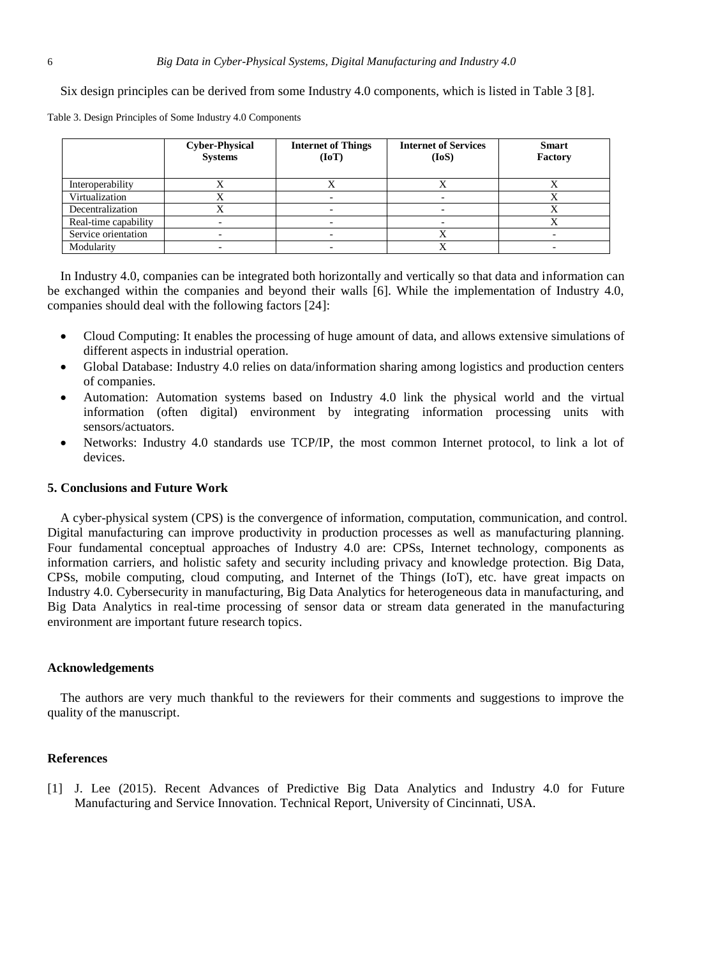Six design principles can be derived from some Industry 4.0 components, which is listed in Table 3 [8].

Table 3. Design Principles of Some Industry 4.0 Components

|                      | <b>Cyber-Physical</b><br><b>Systems</b> | <b>Internet of Things</b><br>(IoT) | <b>Internet of Services</b><br>(IoS) | <b>Smart</b><br>Factory |
|----------------------|-----------------------------------------|------------------------------------|--------------------------------------|-------------------------|
| Interoperability     |                                         |                                    |                                      |                         |
| Virtualization       |                                         |                                    |                                      |                         |
| Decentralization     |                                         |                                    |                                      |                         |
| Real-time capability |                                         |                                    |                                      |                         |
| Service orientation  |                                         |                                    |                                      |                         |
| Modularity           |                                         |                                    |                                      |                         |

In Industry 4.0, companies can be integrated both horizontally and vertically so that data and information can be exchanged within the companies and beyond their walls [6]. While the implementation of Industry 4.0, companies should deal with the following factors [24]:

- Cloud Computing: It enables the processing of huge amount of data, and allows extensive simulations of different aspects in industrial operation.
- Global Database: Industry 4.0 relies on data/information sharing among logistics and production centers of companies.
- Automation: Automation systems based on Industry 4.0 link the physical world and the virtual information (often digital) environment by integrating information processing units with sensors/actuators.
- Networks: Industry 4.0 standards use TCP/IP, the most common Internet protocol, to link a lot of devices.

#### **5. Conclusions and Future Work**

A cyber-physical system (CPS) is the convergence of information, computation, communication, and control. Digital manufacturing can improve productivity in production processes as well as manufacturing planning. Four fundamental conceptual approaches of Industry 4.0 are: CPSs, Internet technology, components as information carriers, and holistic safety and security including privacy and knowledge protection. Big Data, CPSs, mobile computing, cloud computing, and Internet of the Things (IoT), etc. have great impacts on Industry 4.0. Cybersecurity in manufacturing, Big Data Analytics for heterogeneous data in manufacturing, and Big Data Analytics in real-time processing of sensor data or stream data generated in the manufacturing environment are important future research topics.

### **Acknowledgements**

The authors are very much thankful to the reviewers for their comments and suggestions to improve the quality of the manuscript.

### **References**

[1] J. Lee (2015). Recent Advances of Predictive Big Data Analytics and Industry 4.0 for Future Manufacturing and Service Innovation. Technical Report, University of Cincinnati, USA.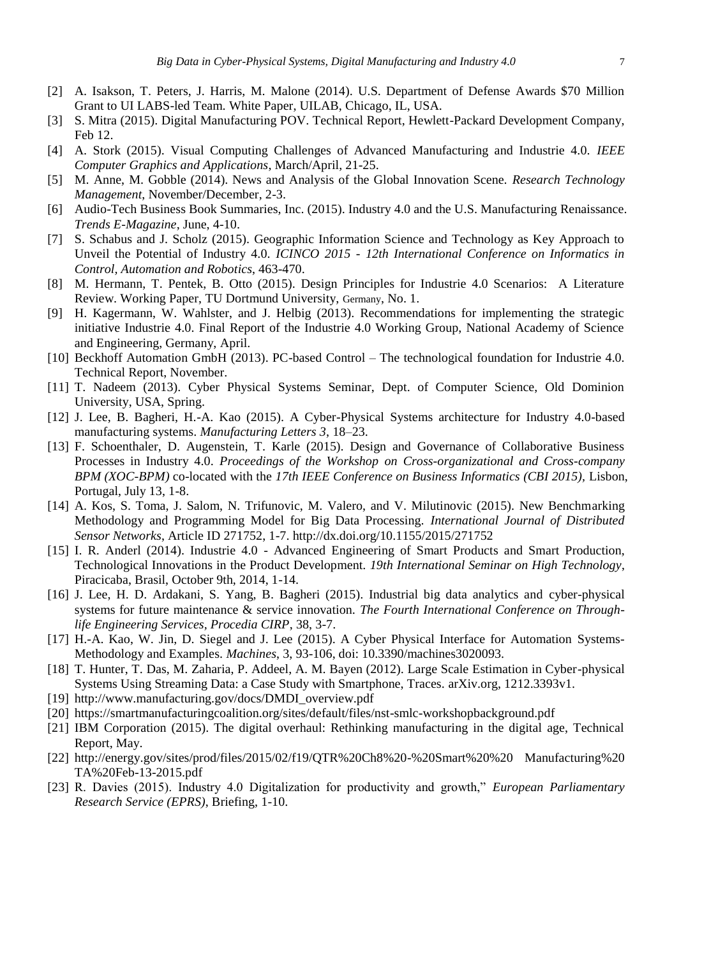- [2] A. Isakson, T. Peters, J. Harris, M. Malone (2014). U.S. Department of Defense Awards \$70 Million Grant to UI LABS-led Team. White Paper, UILAB, Chicago, IL, USA.
- [3] S. Mitra (2015). Digital Manufacturing POV. Technical Report, Hewlett-Packard Development Company, Feb 12.
- [4] A. Stork (2015). Visual Computing Challenges of Advanced Manufacturing and Industrie 4.0. *IEEE Computer Graphics and Applications*, March/April, 21-25.
- [5] M. Anne, M. Gobble (2014). News and Analysis of the Global Innovation Scene. *Research Technology Management*, November/December, 2-3.
- [6] Audio-Tech Business Book Summaries, Inc. (2015). Industry 4.0 and the U.S. Manufacturing Renaissance. *Trends E-Magazine*, June, 4-10.
- [7] S. Schabus and J. Scholz (2015). Geographic Information Science and Technology as Key Approach to Unveil the Potential of Industry 4.0. *ICINCO 2015 - 12th International Conference on Informatics in Control, Automation and Robotics*, 463-470.
- [8] M. Hermann, T. Pentek, B. Otto (2015). Design Principles for Industrie 4.0 Scenarios: A Literature Review. Working Paper, TU Dortmund University, [Germany](https://en.wikipedia.org/wiki/Germany), No. 1.
- [9] H. Kagermann, W. Wahlster, and J. Helbig (2013). Recommendations for implementing the strategic initiative Industrie 4.0. Final Report of the Industrie 4.0 Working Group, National Academy of Science and Engineering, Germany, April.
- [10] Beckhoff Automation GmbH (2013). PC-based Control The technological foundation for Industrie 4.0. Technical Report, November.
- [11] T. Nadeem (2013). Cyber Physical Systems Seminar, Dept. of Computer Science, Old Dominion University, USA, Spring.
- [12] J. Lee, B. Bagheri, H.-A. Kao (2015). A Cyber-Physical Systems architecture for Industry 4.0-based manufacturing systems. *Manufacturing Letters 3*, 18–23.
- [13] F. Schoenthaler, D. Augenstein, T. Karle (2015). Design and Governance of Collaborative Business Processes in Industry 4.0. *Proceedings of the Workshop on Cross-organizational and Cross-company BPM (XOC-BPM)* co-located with the *17th IEEE Conference on Business Informatics (CBI 2015),* Lisbon, Portugal, July 13, 1-8.
- [14] A. Kos, S. Toma, J. Salom, N. Trifunovic, M. Valero, and V. Milutinovic (2015). New Benchmarking Methodology and Programming Model for Big Data Processing. *International Journal of Distributed Sensor Networks*, Article ID 271752, 1-7. http://dx.doi.org/10.1155/2015/271752
- [15] I. R. Anderl (2014). Industrie 4.0 Advanced Engineering of Smart Products and Smart Production, Technological Innovations in the Product Development. *19th International Seminar on High Technology*, Piracicaba, Brasil, October 9th, 2014, 1-14.
- [16] J. Lee, H. D. Ardakani, S. Yang, B. Bagheri (2015). Industrial big data analytics and cyber-physical systems for future maintenance & service innovation. *The Fourth International Conference on Throughlife Engineering Services, Procedia CIRP*, 38, 3-7.
- [17] H.-A. Kao, W. Jin, D. Siegel and J. Lee (2015). A Cyber Physical Interface for Automation Systems-Methodology and Examples. *Machines*, 3, 93-106, doi: 10.3390/machines3020093.
- [18] T. Hunter, T. Das, M. Zaharia, P. Addeel, A. M. Bayen (2012). Large Scale Estimation in Cyber-physical Systems Using Streaming Data: a Case Study with Smartphone, Traces. arXiv.org, 1212.3393v1.
- [19] [http://www.manufacturing.gov/docs/DMDI\\_overview.pdf](http://www.manufacturing.gov/docs/DMDI_overview.pdf)
- [20] [https://smartmanufacturingcoalition.org/sites/default/files/nst-smlc-workshopb](https://smartmanufacturingcoalition.org/sites/default/files/nst-smlc-workshop)ackground.pdf
- [21] IBM Corporation (2015). The digital overhaul: Rethinking manufacturing in the digital age, Technical Report, May.
- [22] [http://energy.gov/sites/prod/files/2015/02/f19/QTR%20Ch8%20-%20Smart%20%20](http://energy.gov/sites/prod/files/2015/02/f19/QTR%20Ch8%20-%20Smart) Manufacturing%20 TA%20Feb-13-2015.pdf
- [23] R. Davies (2015). Industry 4.0 Digitalization for productivity and growth," *European Parliamentary Research Service (EPRS)*, Briefing, 1-10.